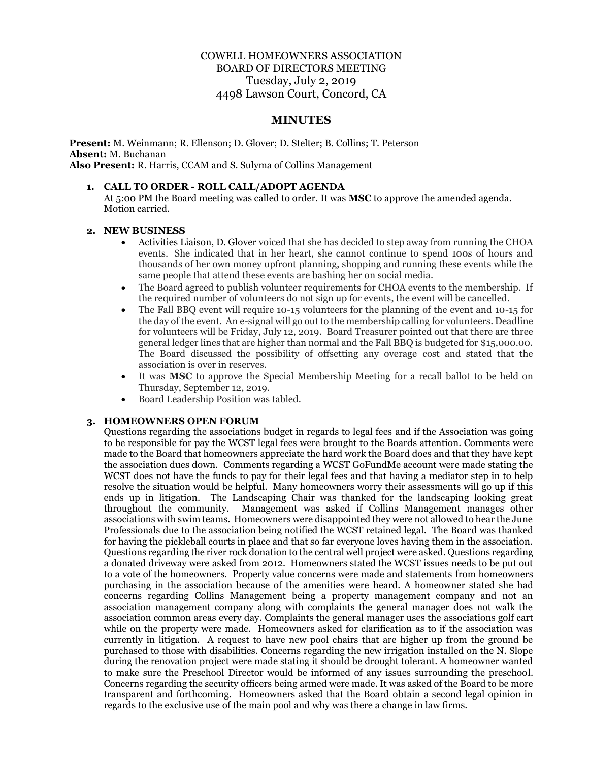# COWELL HOMEOWNERS ASSOCIATION BOARD OF DIRECTORS MEETING Tuesday, July 2, 2019 4498 Lawson Court, Concord, CA

## **MINUTES**

**Present:** M. Weinmann; R. Ellenson; D. Glover; D. Stelter; B. Collins; T. Peterson **Absent:** M. Buchanan **Also Present:** R. Harris, CCAM and S. Sulyma of Collins Management

#### **1. CALL TO ORDER - ROLL CALL/ADOPT AGENDA**

At 5:00 PM the Board meeting was called to order. It was **MSC** to approve the amended agenda. Motion carried.

#### **2. NEW BUSINESS**

- Activities Liaison, D. Glover voiced that she has decided to step away from running the CHOA events. She indicated that in her heart, she cannot continue to spend 100s of hours and thousands of her own money upfront planning, shopping and running these events while the same people that attend these events are bashing her on social media.
- The Board agreed to publish volunteer requirements for CHOA events to the membership. If the required number of volunteers do not sign up for events, the event will be cancelled.
- The Fall BBQ event will require 10-15 volunteers for the planning of the event and 10-15 for the day of the event. An e-signal will go out to the membership calling for volunteers. Deadline for volunteers will be Friday, July 12, 2019. Board Treasurer pointed out that there are three general ledger lines that are higher than normal and the Fall BBQ is budgeted for \$15,000.00. The Board discussed the possibility of offsetting any overage cost and stated that the association is over in reserves.
- It was **MSC** to approve the Special Membership Meeting for a recall ballot to be held on Thursday, September 12, 2019.
- Board Leadership Position was tabled.

#### **3. HOMEOWNERS OPEN FORUM**

Questions regarding the associations budget in regards to legal fees and if the Association was going to be responsible for pay the WCST legal fees were brought to the Boards attention. Comments were made to the Board that homeowners appreciate the hard work the Board does and that they have kept the association dues down. Comments regarding a WCST GoFundMe account were made stating the WCST does not have the funds to pay for their legal fees and that having a mediator step in to help resolve the situation would be helpful. Many homeowners worry their assessments will go up if this ends up in litigation. The Landscaping Chair was thanked for the landscaping looking great throughout the community. Management was asked if Collins Management manages other associations with swim teams. Homeowners were disappointed they were not allowed to hear the June Professionals due to the association being notified the WCST retained legal. The Board was thanked for having the pickleball courts in place and that so far everyone loves having them in the association. Questions regarding the river rock donation to the central well project were asked. Questions regarding a donated driveway were asked from 2012. Homeowners stated the WCST issues needs to be put out to a vote of the homeowners. Property value concerns were made and statements from homeowners purchasing in the association because of the amenities were heard. A homeowner stated she had concerns regarding Collins Management being a property management company and not an association management company along with complaints the general manager does not walk the association common areas every day. Complaints the general manager uses the associations golf cart while on the property were made. Homeowners asked for clarification as to if the association was currently in litigation. A request to have new pool chairs that are higher up from the ground be purchased to those with disabilities. Concerns regarding the new irrigation installed on the N. Slope during the renovation project were made stating it should be drought tolerant. A homeowner wanted to make sure the Preschool Director would be informed of any issues surrounding the preschool. Concerns regarding the security officers being armed were made. It was asked of the Board to be more transparent and forthcoming. Homeowners asked that the Board obtain a second legal opinion in regards to the exclusive use of the main pool and why was there a change in law firms.